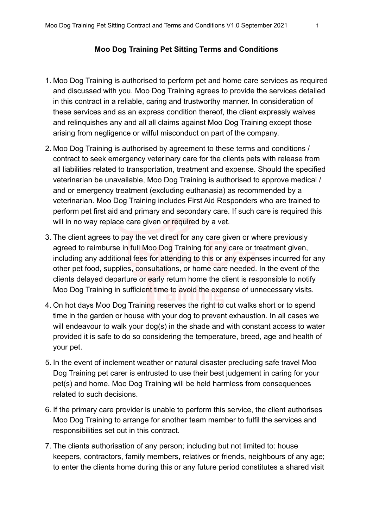## **Moo Dog Training Pet Sitting Terms and Conditions**

- 1. Moo Dog Training is authorised to perform pet and home care services as required and discussed with you. Moo Dog Training agrees to provide the services detailed in this contract in a reliable, caring and trustworthy manner. In consideration of these services and as an express condition thereof, the client expressly waives and relinquishes any and all all claims against Moo Dog Training except those arising from negligence or wilful misconduct on part of the company.
- 2. Moo Dog Training is authorised by agreement to these terms and conditions / contract to seek emergency veterinary care for the clients pets with release from all liabilities related to transportation, treatment and expense. Should the specified veterinarian be unavailable, Moo Dog Training is authorised to approve medical / and or emergency treatment (excluding euthanasia) as recommended by a veterinarian. Moo Dog Training includes First Aid Responders who are trained to perform pet first aid and primary and secondary care. If such care is required this will in no way replace care given or required by a vet.
- 3. The client agrees to pay the vet direct for any care given or where previously agreed to reimburse in full Moo Dog Training for any care or treatment given, including any additional fees for attending to this or any expenses incurred for any other pet food, supplies, consultations, or home care needed. In the event of the clients delayed departure or early return home the client is responsible to notify Moo Dog Training in sufficient time to avoid the expense of unnecessary visits.
- 4. On hot days Moo Dog Training reserves the right to cut walks short or to spend time in the garden or house with your dog to prevent exhaustion. In all cases we will endeavour to walk your dog(s) in the shade and with constant access to water provided it is safe to do so considering the temperature, breed, age and health of your pet.
- 5. In the event of inclement weather or natural disaster precluding safe travel Moo Dog Training pet carer is entrusted to use their best judgement in caring for your pet(s) and home. Moo Dog Training will be held harmless from consequences related to such decisions.
- 6. If the primary care provider is unable to perform this service, the client authorises Moo Dog Training to arrange for another team member to fulfil the services and responsibilities set out in this contract.
- 7. The clients authorisation of any person; including but not limited to: house keepers, contractors, family members, relatives or friends, neighbours of any age; to enter the clients home during this or any future period constitutes a shared visit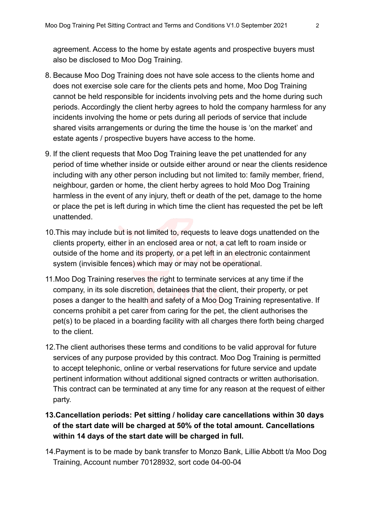agreement. Access to the home by estate agents and prospective buyers must also be disclosed to Moo Dog Training.

- 8. Because Moo Dog Training does not have sole access to the clients home and does not exercise sole care for the clients pets and home, Moo Dog Training cannot be held responsible for incidents involving pets and the home during such periods. Accordingly the client herby agrees to hold the company harmless for any incidents involving the home or pets during all periods of service that include shared visits arrangements or during the time the house is 'on the market' and estate agents / prospective buyers have access to the home.
- 9. If the client requests that Moo Dog Training leave the pet unattended for any period of time whether inside or outside either around or near the clients residence including with any other person including but not limited to: family member, friend, neighbour, garden or home, the client herby agrees to hold Moo Dog Training harmless in the event of any injury, theft or death of the pet, damage to the home or place the pet is left during in which time the client has requested the pet be left unattended.
- 10.This may include but is not limited to, requests to leave dogs unattended on the clients property, either in an enclosed area or not, a cat left to roam inside or outside of the home and its property, or a pet left in an electronic containment system (invisible fences) which may or may not be operational.
- 11.Moo Dog Training reserves the right to terminate services at any time if the company, in its sole discretion, detainees that the client, their property, or pet poses a danger to the health and safety of a Moo Dog Training representative. If concerns prohibit a pet carer from caring for the pet, the client authorises the pet(s) to be placed in a boarding facility with all charges there forth being charged to the client.
- 12.The client authorises these terms and conditions to be valid approval for future services of any purpose provided by this contract. Moo Dog Training is permitted to accept telephonic, online or verbal reservations for future service and update pertinent information without additional signed contracts or written authorisation. This contract can be terminated at any time for any reason at the request of either party.
- **13.Cancellation periods: Pet sitting / holiday care cancellations within 30 days of the start date will be charged at 50% of the total amount. Cancellations within 14 days of the start date will be charged in full.**
- 14.Payment is to be made by bank transfer to Monzo Bank, Lillie Abbott t/a Moo Dog Training, Account number 70128932, sort code 04-00-04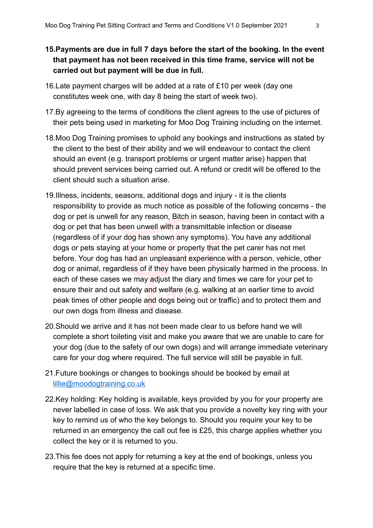## **15.Payments are due in full 7 days before the start of the booking. In the event that payment has not been received in this time frame, service will not be carried out but payment will be due in full.**

- 16.Late payment charges will be added at a rate of £10 per week (day one constitutes week one, with day 8 being the start of week two).
- 17.By agreeing to the terms of conditions the client agrees to the use of pictures of their pets being used in marketing for Moo Dog Training including on the internet.
- 18.Moo Dog Training promises to uphold any bookings and instructions as stated by the client to the best of their ability and we will endeavour to contact the client should an event (e.g. transport problems or urgent matter arise) happen that should prevent services being carried out. A refund or credit will be offered to the client should such a situation arise.
- 19.Illness, incidents, seasons, additional dogs and injury it is the clients responsibility to provide as much notice as possible of the following concerns - the dog or pet is unwell for any reason, Bitch in season, having been in contact with a dog or pet that has been unwell with a transmittable infection or disease (regardless of if your dog has shown any symptoms). You have any additional dogs or pets staying at your home or property that the pet carer has not met before. Your dog has had an unpleasant experience with a person, vehicle, other dog or animal, regardless of if they have been physically harmed in the process. In each of these cases we may adjust the diary and times we care for your pet to ensure their and out safety and welfare (e.g. walking at an earlier time to avoid peak times of other people and dogs being out or traffic) and to protect them and our own dogs from illness and disease.
- 20.Should we arrive and it has not been made clear to us before hand we will complete a short toileting visit and make you aware that we are unable to care for your dog (due to the safety of our own dogs) and will arrange immediate veterinary care for your dog where required. The full service will still be payable in full.
- 21.Future bookings or changes to bookings should be booked by email at [lillie@moodogtraining.co.uk](mailto:lillie@moodogtraining.co.uk)
- 22.Key holding: Key holding is available, keys provided by you for your property are never labelled in case of loss. We ask that you provide a novelty key ring with your key to remind us of who the key belongs to. Should you require your key to be returned in an emergency the call out fee is £25, this charge applies whether you collect the key or it is returned to you.
- 23.This fee does not apply for returning a key at the end of bookings, unless you require that the key is returned at a specific time.